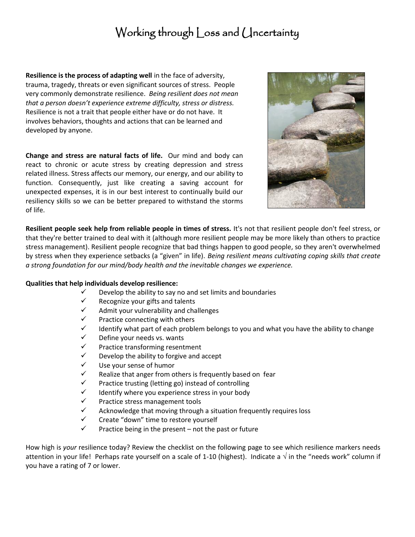## Working through Loss and Uncertainty

**Resilience is the process of adapting well** in the face of adversity, trauma, tragedy, threats or even significant sources of stress. People very commonly demonstrate resilience. *Being resilient does not mean that a person doesn't experience extreme difficulty, stress or distress.*  Resilience is not a trait that people either have or do not have. It involves behaviors, thoughts and actions that can be learned and developed by anyone.

**Change and stress are natural facts of life.** Our mind and body can react to chronic or acute stress by creating depression and stress related illness. Stress affects our memory, our energy, and our ability to function. Consequently, just like creating a saving account for unexpected expenses, it is in our best interest to continually build our resiliency skills so we can be better prepared to withstand the storms of life.



**Resilient people seek help from reliable people in times of stress.** It's not that resilient people don't feel stress, or that they're better trained to deal with it (although more resilient people may be more likely than others to practice stress management). Resilient people recognize that bad things happen to good people, so they aren't overwhelmed by stress when they experience setbacks (a "given" in life). *Being resilient means cultivating coping skills that create a strong foundation for our mind/body health and the inevitable changes we experience.*

## **Qualities that help individuals develop resilience:**

- $\checkmark$  Develop the ability to say no and set limits and boundaries
- $\checkmark$  Recognize your gifts and talents
- $\checkmark$  Admit your vulnerability and challenges
- $\checkmark$  Practice connecting with others<br> $\checkmark$  Identify what part of each probl
- Identify what part of each problem belongs to you and what you have the ability to change
- $\checkmark$  Define your needs vs. wants<br> $\checkmark$  Practice transforming resent
- $\checkmark$  Practice transforming resentment<br> $\checkmark$  Develon the ability to forgive and a
- Develop the ability to forgive and accept
- $\checkmark$  Use your sense of humor
- $\checkmark$  Realize that anger from others is frequently based on fear
- $\checkmark$  Practice trusting (letting go) instead of controlling
- $\checkmark$  Identify where you experience stress in your body
- $\checkmark$  Practice stress management tools
- $\checkmark$  Acknowledge that moving through a situation frequently requires loss
- $\checkmark$  Create "down" time to restore yourself
- Practice being in the present not the past or future

How high is *your* resilience today? Review the checklist on the following page to see which resilience markers needs attention in your life! Perhaps rate yourself on a scale of 1-10 (highest). Indicate a  $\sqrt$  in the "needs work" column if you have a rating of 7 or lower.